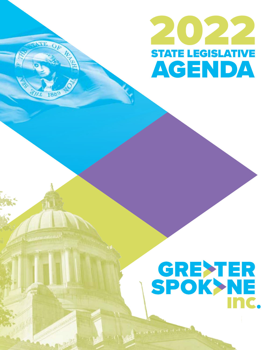

## **GREXTER**<br>SPOK>NE Inc.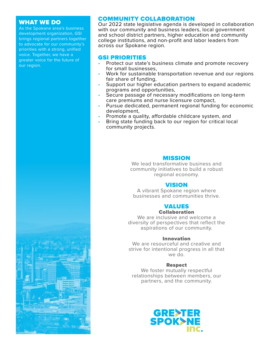#### WHAT WE DO

As the Spokane area's business development organization, GSI brings regional partners together to advocate for our community's priorities with a strong, unified voice. Together, we have a greater voice for the future of our region.

#### COMMUNITY COLLABORATION

Our 2022 state legislative agenda is developed in collaboration with our community and business leaders, local government and school district partners, higher education and community college institutions, and non-profit and labor leaders from across our Spokane region.

#### GSI PRIORITIES

- Protect our state's business climate and promote recovery for small businesses,
- Work for sustainable transportation revenue and our regions fair share of funding,
- Support our higher education partners to expand academic programs and opportunities,
- Secure passage of necessary modifications on long-term care premiums and nurse licensure compact,
- Pursue dedicated, permanent regional funding for economic development,
- Promote a quality, affordable childcare system, and
- Bring state funding back to our region for critical local community projects.

#### MISSION

We lead transformative business and community initiatives to build a robust regional economy.

#### VISION

A vibrant Spokane region where businesses and communities thrive.

#### VALUES

Collaboration

We are inclusive and welcome a diversity of perspectives that reflect the aspirations of our community.

#### Innovation

We are resourceful and creative and strive for intentional progress in all that we do.

#### Respect

We foster mutually respectful relationships between members, our partners, and the community.



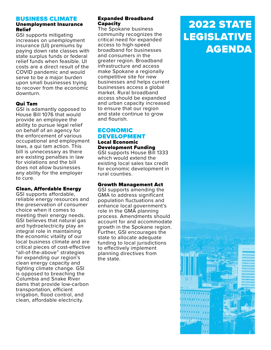#### BUSINESS CLIMATE

#### Unemployment Insurance Relief

GSI supports mitigating increases on unemployment insurance (UI) premiums by paying down rate classes with state surplus funds or federal relief funds when feasible. UI costs are a direct result of the COVID pandemic and would serve to be a major burden upon small businesses trying to recover from the economic downturn.

#### Qui Tam

GSI is adamantly opposed to House Bill 1076 that would provide an employee the ability to pursue legal relief on behalf of an agency for the enforcement of various occupational and employment laws, a qui tam action. This bill is unnecessary as there are existing penalties in law for violations and the bill does not allow businesses any ability for the employer to cure.

#### Clean, Affordable Energy

GSI supports affordable, reliable energy resources and the preservation of consumer choice when it comes to meeting their energy needs. GSI believes that natural gas and hydroelectricity play an integral role in maintaining the economic vitality of our local business climate and are critical pieces of cost-effective "all-of-the-above" strategies for expanding our region's clean energy capacity and fighting climate change. GSI is opposed to breaching the Columbia and Snake River dams that provide low-carbon transportation, efficient irrigation, flood control, and clean, affordable electricity.

#### Expanded Broadband Capacity

The Spokane business community recognizes the critical need for expanded access to high-speed broadband for businesses and consumers in the greater region. Broadband infrastructure and access make Spokane a regionally competitive site for new businesses and helps current businesses access a global market. Rural broadband access should be expanded and urban capacity increased to ensure that our region and state continue to grow and flourish.

#### **ECONOMIC** DEVELOPMENT Local Economic

Development Funding GSI supports House Bill 1333 which would extend the existing local sales tax credit for economic development in rural counties.

#### Growth Management Act

GSI supports amending the GMA to address significant population fluctuations and enhance local government's role in the GMA planning process. Amendments should account for and accommodate growth in the Spokane region. Further, GSI encourages the state to allocate adequate funding to local jurisdictions to effectively implement planning directives from the state.

## 2022 STATE LEGISLATIVE AGENDA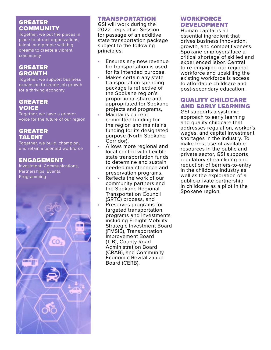#### **GREATER COMMUNITY**

Together, we put the pieces in place to attract organizations, talent, and people with big dreams to create a vibrant community

#### **GREATER** GROWTH

Together, we support business expansion to create job growth for a thriving economy

#### GREATER **VOICE**

Together, we have a greater voice for the future of our region

#### GREATER TALENT

Together, we build, champion, and retain a talented workforce

#### ENGAGEMENT

Investment, Communications, Partnerships, Events, Programming



#### TRANSPORTATION

GSI will work during the 2022 Legislative Session for passage of an additive state transportation package subject to the following principles:

- Ensures any new revenue for transportation is used for its intended purpose,<br>Makes certain any state
- transportation spending package is reflective of the Spokane region's proportional share and appropriated for Spokane projects and programs, • Maintains current
- committed funding for the region and maintains funding for its designated purpose (North Spokane<br>Corridor),
- Allows more regional and local control with flexible state transportation funds to determine and sustain needed maintenance and preservation programs, • Reflects the work of our
- community partners and the Spokane Regional Transportation Council (SRTC) process, and
- Preserves programs for targeted transportation programs and investments including Freight Mobility Strategic Investment Board (FMSIB), Transportation Improvement Board (TIB), County Road Administration Board (CRAB), and Community Economic Revitalization Board (CERB).

#### WORKFORCE DEVELOPMENT

Human capital is an essential ingredient that drives business innovation, growth, and competitiveness. Spokane employers face a critical shortage of skilled and experienced labor. Central to re-engaging our regional workforce and upskilling the existing workforce is access to affordable childcare and post-secondary education.

#### QUALITY CHILDCARE AND EARLY LEARNING

GSI supports a systemic approach to early learning and quality childcare that addresses regulation, worker's wages, and capital investment shortages in the industry. To make best use of available resources in the public and private sector, GSI supports regulatory streamlining and reduction of barriers-to-entry in the childcare industry as well as the exploration of a public-private partnership in childcare as a pilot in the Spokane region.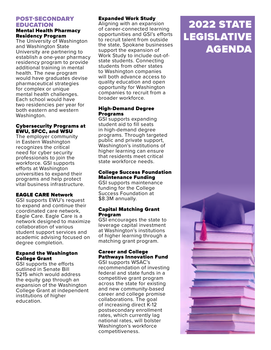#### POST-SECONDARY EDUCATION

#### Mental Health Pharmacy Residency Program

The University of Washington and Washington State University are partnering to establish a one-year pharmacy residency program to provide additional training in mental health. The new program would have graduates devise pharmaceutical strategies for complex or unique mental health challenges. Each school would have two residencies per year for both eastern and western Washington.

#### Cybersecurity Programs at EWU, SFCC, and WSU

The employer community in Eastern Washington recognizes the critical need for cyber security professionals to join the workforce. GSI supports efforts at Washington universities to expand their programs and help protect vital business infrastructure.

#### EAGLE CARE Network

GSI supports EWU's request to expand and continue their coordinated care network, Eagle Care. Eagle Care is a network designed to maximize collaboration of various student support services and academic advising focused on degree completion.

#### Expand the Washington College Grant

GSI supports the efforts outlined in Senate Bill 5215 which would address the equity gap through an expansion of the Washington College Grant at independent institutions of higher education.

#### Expanded Work Study

Aligning with an expansion of career-connected learning opportunities and GSI's efforts to recruit talent from outside the state, Spokane businesses support the expansion of Work Study to include out-ofstate students. Connecting students from other states to Washington companies will both advance access to quality education and open opportunity for Washington companies to recruit from a broader workforce.

#### High-Demand Degree Programs

GSI supports expanding student aid to fill seats in high-demand degree programs. Through targeted public and private support, Washington's institutions of higher learning can ensure that residents meet critical state workforce needs.

#### College Success Foundation Maintenance Funding

GSI supports maintenance funding for the College Success Foundation at \$8.3M annually.

#### Capital Matching Grant Program

GSI encourages the state to leverage capital investment at Washington's institutions of higher learning through a matching grant program.

#### Career and College Pathways Innovation Fund

GSI supports WSAC's recommendation of investing federal and state funds in a competitive grant program across the state for existing and new community-based career and college promise collaborations. The goal of increasing direct K-12 postsecondary enrollment rates, which currently lag national rates, will bolster Washington's workforce competitiveness.

## 2022 STATE LEGISLATIVE AGENDA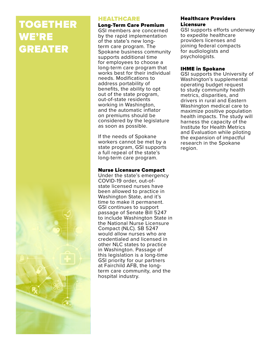## TOGETHER WE'RE GREATER

#### HEALTHCARE

Long-Term Care Premium

GSI members are concerned by the rapid implementation of the state's new longterm care program. The Spokane business community supports additional time for employees to choose a long-term care program that works best for their individual needs. Modifications to address portability of benefits, the ability to opt out of the state program, out-of-state residents working in Washington, and the automatic inflator on premiums should be considered by the legislature as soon as possible.

If the needs of Spokane workers cannot be met by a state program, GSI supports a full repeal of the state's long-term care program.

#### Nurse Licensure Compact

Under the state's emergency COVID-19 order, out-ofstate licensed nurses have been allowed to practice in Washington State, and it's time to make it permanent. GSI continues to support passage of Senate Bill 5247 to include Washington State in the National Nurse Licensure Compact (NLC). SB 5247 would allow nurses who are credentialed and licensed in other NLC states to practice in Washington. Passage of this legislation is a long-time GSI priority for our partners at Fairchild AFB, the longterm care community, and the hospital industry.

#### Healthcare Providers Licensure

GSI supports efforts underway to expedite healthcare providers licenses and joining federal compacts for audiologists and psychologists.

#### IHME in Spokane

GSI supports the University of Washington's supplemental operating budget request to study community health metrics, disparities, and drivers in rural and Eastern Washington medical care to maximize positive population health impacts. The study will harness the capacity of the Institute for Health Metrics and Evaluation while piloting the expansion of impactful research in the Spokane region.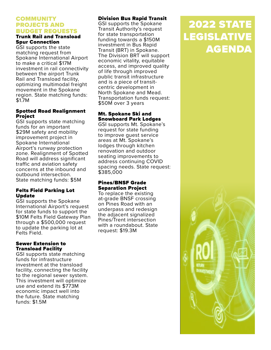#### COMMUNITY PROJECTS AND BUDGET REQUESTS

#### Trunk Rail and Transload Spur Connection

GSI supports the state matching request from Spokane International Airport to make a critical \$17M investment in rail connectivity between the airport Trunk Rail and Transload facility, optimizing multimodal freight movement in the Spokane region. State matching funds: \$1.7M

#### Spotted Road Realignment Project

GSI supports state matching funds for an important \$29M safety and mobility improvement project in Spokane International Airport's runway protection zone. Realignment of Spotted Road will address significant traffic and aviation safety concerns at the inbound and outbound intersection. State matching funds: \$5M

#### Felts Field Parking Lot Update

GSI supports the Spokane International Airport's request for state funds to support the \$10M Felts Field Gateway Plan through a \$500,000 request to update the parking lot at Felts Field.

#### Sewer Extension to Transload Facility

GSI supports state matching funds for infrastructure investment at the transload facility, connecting the facility to the regional sewer system. This investment will optimize use and extend its \$773M economic impact well into the future. State matching funds: \$1.5M

#### Division Bus Rapid Transit

GSI supports the Spokane Transit Authority's request for state transportation funding towards a \$150M investment in Bus Rapid Transit (BRT) in Spokane. The Division BRT will support economic vitality, equitable access, and improved quality of life through improved public transit infrastructure and is a piece of transitcentric development in North Spokane and Mead. Transportation funds request: \$50M over 3 years

#### Mt. Spokane Ski and Snowboard Park Lodges

GSI supports Mt. Spokane's request for state funding to improve guest service areas at Mt. Spokane's lodges through kitchen renovation and outdoor seating improvements to address continuing COVID spacing needs. State request: \$385,000

#### Pines/BNSF Grade Separation Project

To replace the existing at-grade BNSF crossing on Pines Road with an underpass and redesign the adjacent signalized Pines/Trent intersection with a roundabout. State request: \$19.3M

## 2022 STATE LEGISLATIVE AGENDA